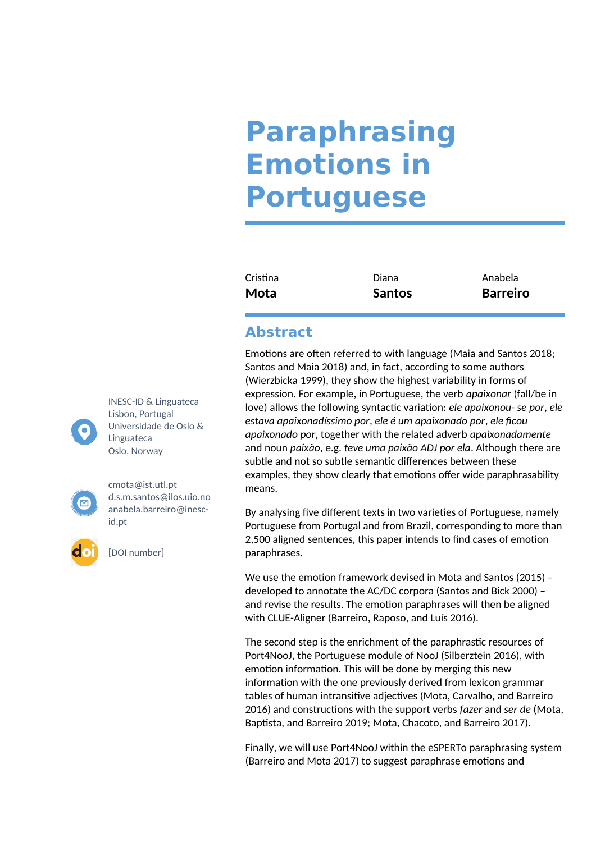## **Paraphrasing Emotions in Portuguese**

| Cristina | Diana         | Anabela         |
|----------|---------------|-----------------|
| Mota     | <b>Santos</b> | <b>Barreiro</b> |

## **Abstract**

Emotions are often referred to with language (Maia and Santos 2018; Santos and Maia 2018) and, in fact, according to some authors (Wierzbicka 1999), they show the highest variability in forms of expression. For example, in Portuguese, the verb *apaixonar* (fall/be in love) allows the following syntactic variation: *ele apaixonou- se por*, *ele estava apaixonadíssimo por*, *ele é um apaixonado por*, *ele ficou apaixonado por*, together with the related adverb *apaixonadamente*  and noun *paixão*, e.g. *teve uma paixão ADJ por ela*. Although there are subtle and not so subtle semantic differences between these examples, they show clearly that emotions offer wide paraphrasability means.

By analysing five different texts in two varieties of Portuguese, namely Portuguese from Portugal and from Brazil, corresponding to more than 2,500 aligned sentences, this paper intends to find cases of emotion paraphrases.

We use the emotion framework devised in Mota and Santos (2015) – developed to annotate the AC/DC corpora (Santos and Bick 2000) – and revise the results. The emotion paraphrases will then be aligned with CLUE-Aligner (Barreiro, Raposo, and Luís 2016).

The second step is the enrichment of the paraphrastic resources of Port4NooJ, the Portuguese module of NooJ (Silberztein 2016), with emotion information. This will be done by merging this new information with the one previously derived from lexicon grammar tables of human intransitive adjectives (Mota, Carvalho, and Barreiro 2016) and constructions with the support verbs *fazer* and *ser de* (Mota, Baptista, and Barreiro 2019; Mota, Chacoto, and Barreiro 2017).

Finally, we will use Port4NooJ within the eSPERTo paraphrasing system (Barreiro and Mota 2017) to suggest paraphrase emotions and

INESC-ID & Linguateca Lisbon, Portugal Universidade de Oslo & Linguateca Oslo, Norway



[cmota@ist.utl.pt](mailto:cmota@ist.utl.pt) d.s.m.santos@ilos.uio.no anabela.barreiro@inescid.pt

[DOI number]